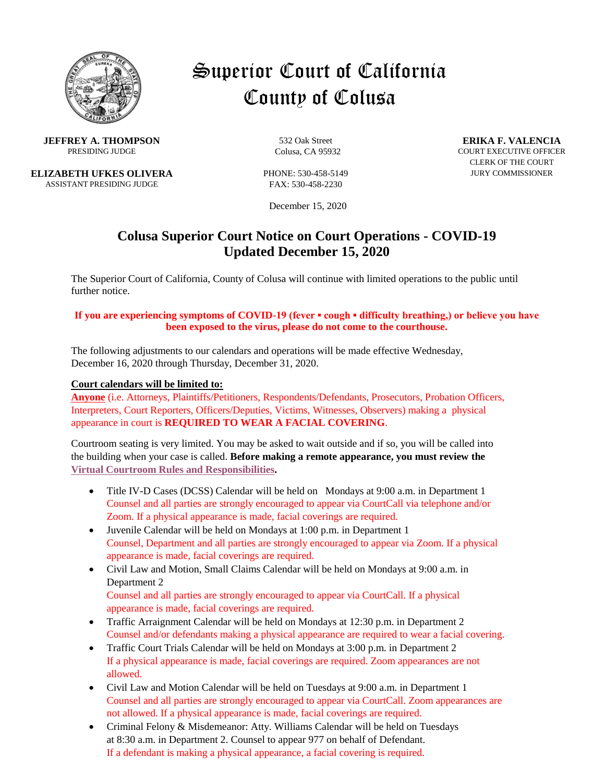

# Superior Court of California County of Colusa

**JEFFREY A. THOMPSON** 532 Oak Street **ERIKA F. VALENCIA**<br>PRESIDING JUDGE COURT COURT EXECUTIVE OFFICE

**ELIZABETH UFKES OLIVERA** PHONE: 530-458-5149 JURY COMMISSIONER ASSISTANT PRESIDING JUDGE FAX: 530-458-2230

December 15, 2020

# **Colusa Superior Court Notice on Court Operations - COVID-19 Updated December 15, 2020**

The Superior Court of California, County of Colusa will continue with limited operations to the public until further notice.

#### **If you are experiencing symptoms of COVID-19 (fever ▪ cough ▪ difficulty breathing,) or believe you have been exposed to the virus, please do not come to the courthouse.**

The following adjustments to our calendars and operations will be made effective Wednesday, December 16, 2020 through Thursday, December 31, 2020.

#### **Court calendars will be limited to:**

**Anyone** (i.e. Attorneys, Plaintiffs/Petitioners, Respondents/Defendants, Prosecutors, Probation Officers, Interpreters, Court Reporters, Officers/Deputies, Victims, Witnesses, Observers) making a physical appearance in court is **REQUIRED TO WEAR A FACIAL COVERING**.

Courtroom seating is very limited. You may be asked to wait outside and if so, you will be called into the building when your case is called. **Before making a remote appearance, you must review the [Virtual Courtroom Rules and Responsibilities.](http://colusa.courts.ca.gov/misc/Virtual%20Courtroom%20Rules%20and%20Responsibilities.pdf)**

- Title IV-D Cases (DCSS) Calendar will be held on Mondays at 9:00 a.m. in Department 1 Counsel and all parties are strongly encouraged to appear via CourtCall via telephone and/or Zoom. If a physical appearance is made, facial coverings are required.
- Juvenile Calendar will be held on Mondays at 1:00 p.m. in Department 1 Counsel, Department and all parties are strongly encouraged to appear via Zoom. If a physical appearance is made, facial coverings are required.
- Civil Law and Motion, Small Claims Calendar will be held on Mondays at 9:00 a.m. in Department 2

Counsel and all parties are strongly encouraged to appear via CourtCall. If a physical appearance is made, facial coverings are required.

- Traffic Arraignment Calendar will be held on Mondays at 12:30 p.m. in Department 2 Counsel and/or defendants making a physical appearance are required to wear a facial covering.
- Traffic Court Trials Calendar will be held on Mondays at 3:00 p.m. in Department 2 If a physical appearance is made, facial coverings are required. Zoom appearances are not allowed.
- Civil Law and Motion Calendar will be held on Tuesdays at 9:00 a.m. in Department 1 Counsel and all parties are strongly encouraged to appear via CourtCall. Zoom appearances are not allowed. If a physical appearance is made, facial coverings are required.
- Criminal Felony & Misdemeanor: Atty. Williams Calendar will be held on Tuesdays at 8:30 a.m. in Department 2. Counsel to appear 977 on behalf of Defendant. If a defendant is making a physical appearance, a facial covering is required.

**PRESIDING COURT EXECUTIVE OFFICER** COURT EXECUTIVE OFFICER CLERK OF THE COURT